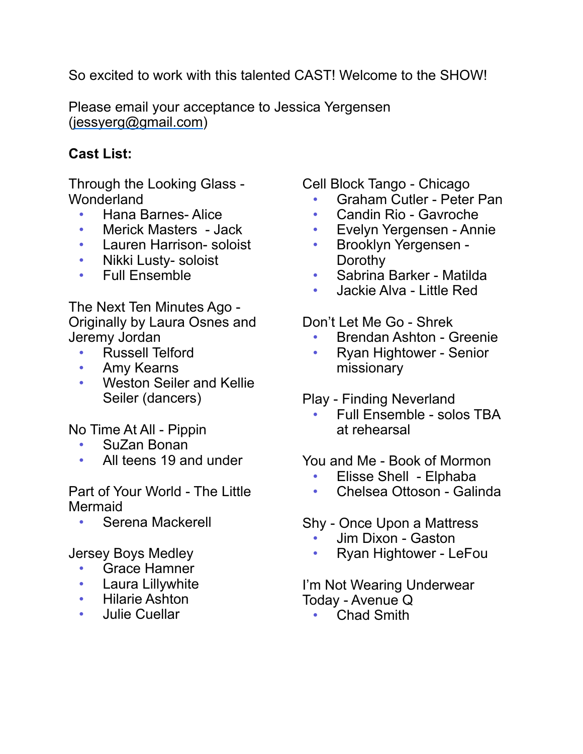So excited to work with this talented CAST! Welcome to the SHOW!

Please email your acceptance to Jessica Yergensen ([jessyerg@gmail.com](mailto:jessyerg@gmail.com))

## **Cast List:**

Through the Looking Glass - **Wonderland** 

- Hana Barnes- Alice
- Merick Masters Jack
- Lauren Harrison- soloist
- Nikki Lusty- soloist
- Full Ensemble

The Next Ten Minutes Ago - Originally by Laura Osnes and Jeremy Jordan

- Russell Telford
- Amy Kearns
- Weston Seiler and Kellie Seiler (dancers)

No Time At All - Pippin

- SuZan Bonan
- All teens 19 and under

Part of Your World - The Little Mermaid

• Serena Mackerell

Jersey Boys Medley

- Grace Hamner
- Laura Lillywhite
- Hilarie Ashton
- Julie Cuellar

Cell Block Tango - Chicago

- Graham Cutler Peter Pan
- Candin Rio Gavroche
- Evelyn Yergensen Annie
- Brooklyn Yergensen **Dorothy**
- Sabrina Barker Matilda
- Jackie Alva Little Red

Don't Let Me Go - Shrek

- Brendan Ashton Greenie
- Ryan Hightower Senior missionary

Play - Finding Neverland

• Full Ensemble - solos TBA at rehearsal

You and Me - Book of Mormon

- Elisse Shell Elphaba
- Chelsea Ottoson Galinda

Shy - Once Upon a Mattress

- Jim Dixon Gaston
- Ryan Hightower LeFou

I'm Not Wearing Underwear Today - Avenue Q

• Chad Smith